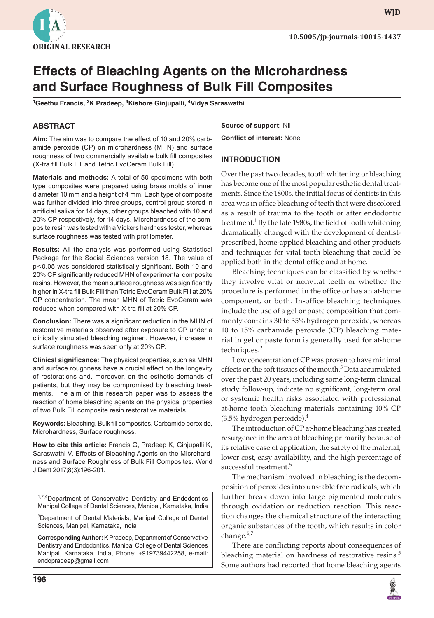

**wjd**

# **Effects of Bleaching Agents on the Microhardness and Surface Roughness of Bulk Fill Composites**

<sup>1</sup>Geethu Francis, <sup>2</sup>K Pradeep, <sup>3</sup>Kishore Ginjupalli, <sup>4</sup>Vidya Saraswathi

# **ABSTRACT**

**Aim:** The aim was to compare the effect of 10 and 20% carbamide peroxide (CP) on microhardness (MHN) and surface roughness of two commercially available bulk fill composites (X-tra fill Bulk Fill and Tetric EvoCeram Bulk Fill).

**Materials and methods:** A total of 50 specimens with both type composites were prepared using brass molds of inner diameter 10 mm and a height of 4 mm. Each type of composite was further divided into three groups, control group stored in artificial saliva for 14 days, other groups bleached with 10 and 20% CP respectively, for 14 days. Microhardness of the composite resin was tested with a Vickers hardness tester, whereas surface roughness was tested with profilometer.

**Results:** All the analysis was performed using Statistical Package for the Social Sciences version 18. The value of p<0.05 was considered statistically significant. Both 10 and 20% CP significantly reduced MHN of experimental composite resins. However, the mean surface roughness was significantly higher in X-tra fill Bulk Fill than Tetric EvoCeram Bulk Fill at 20% CP concentration. The mean MHN of Tetric EvoCeram was reduced when compared with X-tra fill at 20% CP.

**Conclusion:** There was a significant reduction in the MHN of restorative materials observed after exposure to CP under a clinically simulated bleaching regimen. However, increase in surface roughness was seen only at 20% CP.

**Clinical significance:** The physical properties, such as MHN and surface roughness have a crucial effect on the longevity of restorations and, moreover, on the esthetic demands of patients, but they may be compromised by bleaching treatments. The aim of this research paper was to assess the reaction of home bleaching agents on the physical properties of two Bulk Fill composite resin restorative materials.

**Keywords:** Bleaching, Bulk fill composites, Carbamide peroxide, Microhardness, Surface roughness.

**How to cite this article:** Francis G, Pradeep K, Ginjupalli K, Saraswathi V. Effects of Bleaching Agents on the Microhardness and Surface Roughness of Bulk Fill Composites. World J Dent 2017;8(3):196-201.

<sup>1,2,4</sup>Department of Conservative Dentistry and Endodontics Manipal College of Dental Sciences, Manipal, Karnataka, India

3 Department of Dental Materials, Manipal College of Dental Sciences, Manipal, Karnataka, India

**Corresponding Author:** K Pradeep, Department of Conservative Dentistry and Endodontics, Manipal College of Dental Sciences Manipal, Karnataka, India, Phone: +919739442258, e-mail: endopradeep@gmail.com

**196**

**Source of support:** Nil **Conflict of interest:** None

## **INTRODUCTION**

Over the past two decades, tooth whitening or bleaching has become one of the most popular esthetic dental treatments. Since the 1800s, the initial focus of dentists in this area was in office bleaching of teeth that were discolored as a result of trauma to the tooth or after endodontic treatment.<sup>1</sup> By the late 1980s, the field of tooth whitening dramatically changed with the development of dentistprescribed, home-applied bleaching and other products and techniques for vital tooth bleaching that could be applied both in the dental office and at home.

Bleaching techniques can be classified by whether they involve vital or nonvital teeth or whether the procedure is performed in the office or has an at-home component, or both. In-office bleaching techniques include the use of a gel or paste composition that commonly contains 30 to 35% hydrogen peroxide, whereas 10 to 15% carbamide peroxide (CP) bleaching material in gel or paste form is generally used for at-home techniques.<sup>2</sup>

Low concentration of CP was proven to have minimal effects on the soft tissues of the mouth.<sup>3</sup> Data accumulated over the past 20 years, including some long-term clinical study follow-up, indicate no significant, long-term oral or systemic health risks associated with professional at-home tooth bleaching materials containing 10% CP  $(3.5\%$  hydrogen peroxide).<sup>4</sup>

The introduction of CP at-home bleaching has created resurgence in the area of bleaching primarily because of its relative ease of application, the safety of the material, lower cost, easy availability, and the high percentage of successful treatment.<sup>5</sup>

The mechanism involved in bleaching is the decomposition of peroxides into unstable free radicals, which further break down into large pigmented molecules through oxidation or reduction reaction. This reaction changes the chemical structure of the interacting organic substances of the tooth, which results in color change.<sup>6,7</sup>

There are conflicting reports about consequences of bleaching material on hardness of restorative resins.<sup>5</sup> Some authors had reported that home bleaching agents

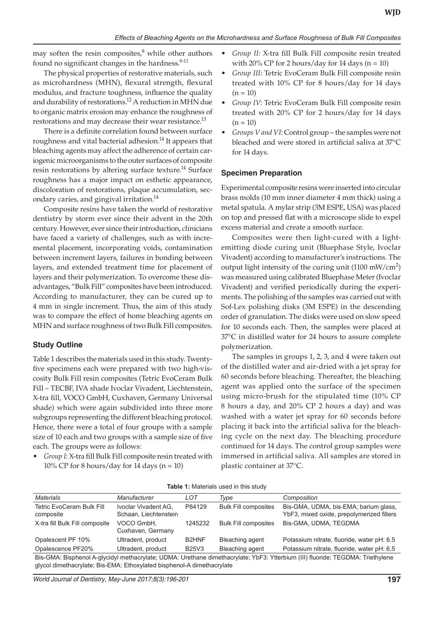may soften the resin composites, $8$  while other authors found no significant changes in the hardness. $9-11$ 

The physical properties of restorative materials, such as microhardness (MHN), flexural strength, flexural modulus, and fracture toughness, influence the quality and durability of restorations.<sup>12</sup> A reduction in MHN due to organic matrix erosion may enhance the roughness of restorations and may decrease their wear resistance.<sup>13</sup>

There is a definite correlation found between surface roughness and vital bacterial adhesion.<sup>14</sup> It appears that bleaching agents may affect the adherence of certain cariogenic microorganisms to the outer surfaces of composite resin restorations by altering surface texture.<sup>14</sup> Surface roughness has a major impact on esthetic appearance, discoloration of restorations, plaque accumulation, secondary caries, and gingival irritation.<sup>14</sup>

Composite resins have taken the world of restorative dentistry by storm ever since their advent in the 20th century. However, ever since their introduction, clinicians have faced a variety of challenges, such as with incremental placement, incorporating voids, contamination between increment layers, failures in bonding between layers, and extended treatment time for placement of layers and their polymerization. To overcome these disadvantages, "Bulk Fill" composites have been introduced. According to manufacturer, they can be cured up to 4 mm in single increment. Thus, the aim of this study was to compare the effect of home bleaching agents on MHN and surface roughness of two Bulk Fill composites.

# **Study Outline**

Table 1 describes the materials used in this study. Twentyfive specimens each were prepared with two high-viscosity Bulk Fill resin composites (Tetric EvoCeram Bulk Fill – TECBF, IVA shade Ivoclar Vivadent, Liechtenstein, X-tra fill, VOCO GmbH, Cuxhaven, Germany Universal shade) which were again subdivided into three more subgroups representing the different bleaching protocol. Hence, there were a total of four groups with a sample size of 10 each and two groups with a sample size of five each. The groups were as follows:

Group I: X-tra fill Bulk Fill composite resin treated with 10% CP for 8 hours/day for 14 days  $(n = 10)$ 

- Group II: X-tra fill Bulk Fill composite resin treated with 20% CP for 2 hours/day for 14 days  $(n = 10)$
- • *Group III*: Tetric EvoCeram Bulk Fill composite resin treated with 10% CP for 8 hours/day for 14 days  $(n = 10)$
- • *Group IV*: Tetric EvoCeram Bulk Fill composite resin treated with 20% CP for 2 hours/day for 14 days  $(n = 10)$
- Groups V and VI: Control group the samples were not bleached and were stored in artificial saliva at 37°C for 14 days.

## **Specimen Preparation**

Experimental composite resins were inserted into circular brass molds (10 mm inner diameter 4 mm thick) using a metal spatula. A mylar strip (3M ESPE, USA) was placed on top and pressed flat with a microscope slide to expel excess material and create a smooth surface.

Composites were then light-cured with a lightemitting diode curing unit (Bluephase Style, Ivoclar Vivadent) according to manufacturer's instructions. The output light intensity of the curing unit (1100 mW/cm<sup>2</sup>) was measured using calibrated Bluephase Meter (Ivoclar Vivadent) and verified periodically during the experiments. The polishing of the samples was carried out with Sof-Lex polishing disks (3M ESPE) in the descending order of granulation. The disks were used on slow speed for 10 seconds each. Then, the samples were placed at 37°C in distilled water for 24 hours to assure complete polymerization.

The samples in groups 1, 2, 3, and 4 were taken out of the distilled water and air-dried with a jet spray for 60 seconds before bleaching. Thereafter, the bleaching agent was applied onto the surface of the specimen using micro-brush for the stipulated time (10% CP 8 hours a day, and 20% CP 2 hours a day) and was washed with a water jet spray for 60 seconds before placing it back into the artificial saliva for the bleaching cycle on the next day. The bleaching procedure continued for 14 days. The control group samples were immersed in artificial saliva. All samples are stored in plastic container at 37°C.

| <b>Table 1.</b> Materials used in this study                                                                                   |                                               |                    |                             |                                                                                    |  |
|--------------------------------------------------------------------------------------------------------------------------------|-----------------------------------------------|--------------------|-----------------------------|------------------------------------------------------------------------------------|--|
| Materials                                                                                                                      | <b>Manufacturer</b>                           | LOT                | Type                        | Composition                                                                        |  |
| <b>Tetric EvoCeram Bulk Fill</b><br>composite                                                                                  | Ivoclar Vivadent AG.<br>Schaan, Liechtenstein | P84129             | <b>Bulk Fill composites</b> | Bis-GMA, UDMA, bis-EMA; barium glass,<br>YbF3, mixed oxide, prepolymerized fillers |  |
| X-tra fill Bulk Fill composite                                                                                                 | VOCO GmbH.<br>Cuxhaven, Germany               | 1245232            | <b>Bulk Fill composites</b> | Bis-GMA, UDMA, TEGDMA                                                              |  |
| Opalescent PF 10%                                                                                                              | Ultradent, product                            | B <sub>2</sub> HNF | Bleaching agent             | Potassium nitrate, fluoride, water pH: 6.5                                         |  |
| Opalescence PF20%                                                                                                              | Ultradent, product                            | <b>B25V3</b>       | Bleaching agent             | Potassium nitrate, fluoride, water pH: 6.5                                         |  |
| Ris CMA: Risphanol A glycidyl mathacrylata: UDMA: Urathana dimathacrylata: VhE3: Vttarhium (III) fluorida: TECDMA: Triathylana |                                               |                    |                             |                                                                                    |  |

Table 1: Materials used in this study

Bis-GMA: Bisphenol A-glycidyl methacrylate; UDMA: Urethane dimethacrylate; YbF3: Ytterbium (III) fluoride; TEGDMA: Triethylene glycol dimethacrylate; Bis-EMA: Ethoxylated bisphenol-A dimethacrylate

*World Journal of Dentistry, May-June 2017;8(3):196-201* **197**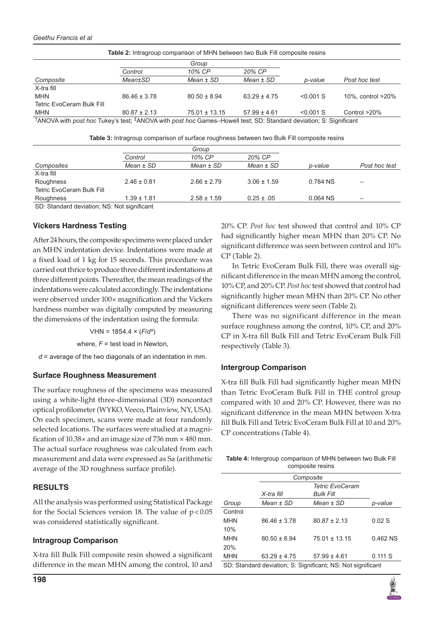| <b>Table 2:</b> Intragroup comparison of MHN between two Bulk Fill composite resins                                                       |                  |                   |                  |             |                   |
|-------------------------------------------------------------------------------------------------------------------------------------------|------------------|-------------------|------------------|-------------|-------------------|
|                                                                                                                                           | Group            |                   |                  |             |                   |
|                                                                                                                                           | Control          | 10% CP            | 20% CP           |             |                   |
| Composite                                                                                                                                 | <b>Mean</b> ±SD  | $Mean \pm SD$     | $Mean \pm SD$    | p-value     | Post hoc test     |
| X-tra fill                                                                                                                                |                  |                   |                  |             |                   |
| <b>MHN</b>                                                                                                                                | $86.46 \pm 3.78$ | $80.50 \pm 8.94$  | $63.29 \pm 4.75$ | $< 0.001$ S | 10%, control >20% |
| <b>Tetric EvoCeram Bulk Fill</b>                                                                                                          |                  |                   |                  |             |                   |
| <b>MHN</b>                                                                                                                                | $80.87 \pm 2.13$ | $75.01 \pm 13.15$ | $57.99 \pm 4.61$ | $< 0.001$ S | Control $>20\%$   |
| <sup>†</sup> ANOVA with post hoc Tukey's test; <sup>‡</sup> ANOVA with post hoc Games–Howell test; SD: Standard deviation; S: Significant |                  |                   |                  |             |                   |

**Table 3:** Intragroup comparison of surface roughness between two Bulk Fill composite resins

|                                                | Group           |                 |                 |            |               |
|------------------------------------------------|-----------------|-----------------|-----------------|------------|---------------|
|                                                | Control         | 10% CP          | 20% CP          |            |               |
| Composites                                     | $Mean \pm SD$   | $Mean \pm SD$   | $Mean \pm SD$   | p-value    | Post hoc test |
| X-tra fill                                     |                 |                 |                 |            |               |
| Roughness                                      | $2.46 \pm 0.81$ | $2.66 \pm 2.79$ | $3.06 \pm 1.59$ | 0.784 NS   |               |
| <b>Tetric EvoCeram Bulk Fill</b>               |                 |                 |                 |            |               |
| Roughness                                      | $1.39 \pm 1.81$ | $2.58 \pm 1.59$ | $0.25 \pm .05$  | $0.064$ NS |               |
| OD. Of and and davisting. MO, Mat almotting at |                 |                 |                 |            |               |

SD: Standard deviation; NS: Not significant

## **Vickers Hardness Testing**

After 24 hours, the composite specimens were placed under an MHN indentation device. Indentations were made at a fixed load of 1 kg for 15 seconds. This procedure was carried out thrice to produce three different indentations at three different points. Thereafter, the mean readings of the indentations were calculated accordingly. The indentations were observed under 100× magnification and the Vickers hardness number was digitally computed by measuring the dimensions of the indentation using the formula:

VHN = 1854.4 × (*F*/*d*²)

where,  $F =$  test load in Newton,

*d* = average of the two diagonals of an indentation in mm.

## **Surface Roughness Measurement**

The surface roughness of the specimens was measured using a white-light three-dimensional (3D) noncontact optical profilometer (WYKO, Veeco, Plainview, NY, USA). On each specimen, scans were made at four randomly selected locations. The surfaces were studied at a magnification of 10.38× and an image size of 736 mm × 480 mm. The actual surface roughness was calculated from each measurement and data were expressed as Sa (arithmetic average of the 3D roughness surface profile).

## **RESULTS**

All the analysis was performed using Statistical Package for the Social Sciences version 18. The value of  $p < 0.05$ was considered statistically significant.

#### **Intragroup Comparison**

X-tra fill Bulk Fill composite resin showed a significant difference in the mean MHN among the control, 10 and 20% CP. *Post hoc* test showed that control and 10% CP had significantly higher mean MHN than 20% CP. No significant difference was seen between control and 10% CP (Table 2).

In Tetric EvoCeram Bulk Fill, there was overall significant difference in the mean MHN among the control, 10% CP, and 20% CP. *Post hoc* test showed that control had significantly higher mean MHN than 20% CP. No other significant differences were seen (Table 2).

There was no significant difference in the mean surface roughness among the control, 10% CP, and 20% CP in X-tra fill Bulk Fill and Tetric EvoCeram Bulk Fill respectively (Table 3).

#### **Intergroup Comparison**

X-tra fill Bulk Fill had significantly higher mean MHN than Tetric EvoCeram Bulk Fill in THE control group compared with 10 and 20% CP. However, there was no significant difference in the mean MHN between X-tra fill Bulk Fill and Tetric EvoCeram Bulk Fill at 10 and 20% CP concentrations (Table 4).

| <b>Table 4:</b> Intergroup comparison of MHN between two Bulk Fill |  |  |  |
|--------------------------------------------------------------------|--|--|--|
| composite resins                                                   |  |  |  |

|                                                             | Composite              |                   |          |  |
|-------------------------------------------------------------|------------------------|-------------------|----------|--|
|                                                             | <b>Tetric EvoCeram</b> |                   |          |  |
|                                                             | X-tra fill             | <b>Bulk Fill</b>  |          |  |
| Group                                                       | $Mean \pm SD$          | $Mean \pm SD$     | p-value  |  |
| Control                                                     |                        |                   |          |  |
| <b>MHN</b>                                                  | $86.46 \pm 3.78$       | $80.87 \pm 2.13$  | 0.02S    |  |
| 10%                                                         |                        |                   |          |  |
| <b>MHN</b>                                                  | $80.50 \pm 8.94$       | $75.01 \pm 13.15$ | 0.462 NS |  |
| 20%                                                         |                        |                   |          |  |
| <b>MHN</b>                                                  | $63.29 \pm 4.75$       | $57.99 \pm 4.61$  | 0.111S   |  |
| SD: Standard deviation, S: Significant, NS: Not significant |                        |                   |          |  |

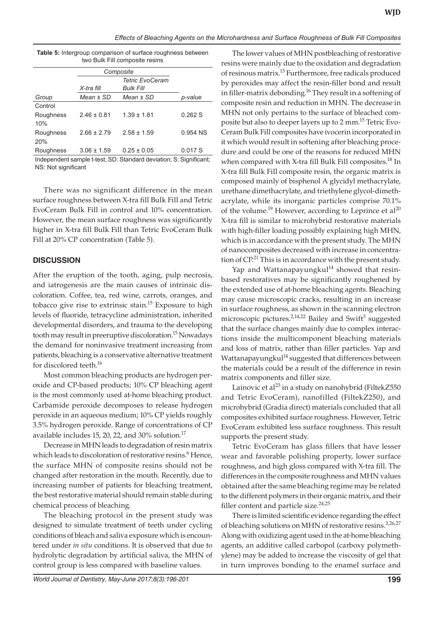### *Effects of Bleaching Agents on the Microhardness and Surface Roughness of Bulk Fill Composites*

| <b>Table 5:</b> Intergroup comparison of surface roughness between |  |  |  |  |
|--------------------------------------------------------------------|--|--|--|--|
| two Bulk Fill composite resins                                     |  |  |  |  |

|                  | Composite                                                |                 |          |
|------------------|----------------------------------------------------------|-----------------|----------|
|                  | <b>Tetric EvoCeram</b><br><b>Bulk Fill</b><br>X-tra fill |                 |          |
| Group            | $Mean \pm SD$                                            | $Mean \pm SD$   | p-value  |
| Control          |                                                          |                 |          |
| Roughness<br>10% | $2.46 + 0.81$                                            | $1.39 \pm 1.81$ | 0.262S   |
| Roughness<br>20% | $2.66 + 2.79$                                            | $2.58 \pm 1.59$ | 0.954 NS |
| Roughness        | $3.06 \pm 1.59$                                          | $0.25 \pm 0.05$ | 0.017S   |

Independent sample t-test, SD: Standard deviation; S: Significant; NS: Not significant

There was no significant difference in the mean surface roughness between X-tra fill Bulk Fill and Tetric EvoCeram Bulk Fill in control and 10% concentration. However, the mean surface roughness was significantly higher in X-tra fill Bulk Fill than Tetric EvoCeram Bulk Fill at 20% CP concentration (Table 5).

# **DISCUSSION**

After the eruption of the tooth, aging, pulp necrosis, and iatrogenesis are the main causes of intrinsic discoloration. Coffee, tea, red wine, carrots, oranges, and tobacco give rise to extrinsic stain.<sup>15</sup> Exposure to high levels of fluoride, tetracycline administration, inherited developmental disorders, and trauma to the developing tooth may result in preeruptive discoloration.<sup>15</sup> Nowadays the demand for noninvasive treatment increasing from patients, bleaching is a conservative alternative treatment for discolored teeth.<sup>16</sup>

Most common bleaching products are hydrogen peroxide and CP-based products; 10% CP bleaching agent is the most commonly used at-home bleaching product. Carbamide peroxide decomposes to release hydrogen peroxide in an aqueous medium; 10% CP yields roughly 3.5% hydrogen peroxide. Range of concentrations of CP available includes 15, 20, 22, and 30% solution.<sup>17</sup>

Decrease in MHN leads to degradation of resin matrix which leads to discoloration of restorative resins.<sup>6</sup> Hence, the surface MHN of composite resins should not be changed after restoration in the mouth. Recently, due to increasing number of patients for bleaching treatment, the best restorative material should remain stable during chemical process of bleaching.

The bleaching protocol in the present study was designed to simulate treatment of teeth under cycling conditions of bleach and saliva exposure which is encountered under *in situ* conditions. It is observed that due to hydrolytic degradation by artificial saliva, the MHN of control group is less compared with baseline values.

The lower values of MHN postbleaching of restorative resins were mainly due to the oxidation and degradation of resinous matrix.<sup>13</sup> Furthermore, free radicals produced by peroxides may affect the resin-filler bond and result in filler-matrix debonding.<sup>16</sup> They result in a softening of composite resin and reduction in MHN. The decrease in MHN not only pertains to the surface of bleached composite but also to deeper layers up to 2 mm.<sup>15</sup> Tetric Evo-Ceram Bulk Fill composites have ivocerin incorporated in it which would result in softening after bleaching procedure and could be one of the reasons for reduced MHN when compared with X-tra fill Bulk Fill composites.<sup>18</sup> In X-tra fill Bulk Fill composite resin, the organic matrix is composed mainly of bisphenol A glycidyl methacrylate, urethane dimethacrylate, and triethylene glycol-dimethacrylate, while its inorganic particles comprise 70.1% of the volume.<sup>19</sup> However, according to Leprince et al<sup>20</sup> X-tra fill is similar to microhybrid restorative materials with high-filler loading possibly explaining high MHN, which is in accordance with the present study. The MHN of nanocomposites decreased with increase in concentration of  $\mathbb{CP}^{21}$ . This is in accordance with the present study.

Yap and Wattanapayungkul<sup>14</sup> showed that resinbased restoratives may be significantly roughened by the extended use of at-home bleaching agents. Bleaching may cause microscopic cracks, resulting in an increase in surface roughness, as shown in the scanning electron microscopic pictures.<sup>2,14,22</sup> Bailey and Swift<sup>3</sup> suggested that the surface changes mainly due to complex interactions inside the multicomponent bleaching materials and loss of matrix, rather than filler particles. Yap and Wattanapayungkul<sup>14</sup> suggested that differences between the materials could be a result of the difference in resin matrix components and filler size.

Lainovic et al<sup>23</sup> in a study on nanohybrid (FiltekZ550 and Tetric EvoCeram), nanofilled (FiltekZ250), and microhybrid (Gradia direct) materials concluded that all composites exhibited surface roughness. However, Tetric EvoCeram exhibited less surface roughness. This result supports the present study.

Tetric EvoCeram has glass fillers that have lesser wear and favorable polishing property, lower surface roughness, and high gloss compared with X-tra fill. The differences in the composite roughness and MHN values obtained after the same bleaching regime may be related to the different polymers in their organic matrix, and their filler content and particle size. $24,25$ 

There is limited scientific evidence regarding the effect of bleaching solutions on MHN of restorative resins.<sup>3,26,27</sup> Along with oxidizing agent used in the at-home bleaching agents, an additive called carbopol (carboxy polymethylene) may be added to increase the viscosity of gel that in turn improves bonding to the enamel surface and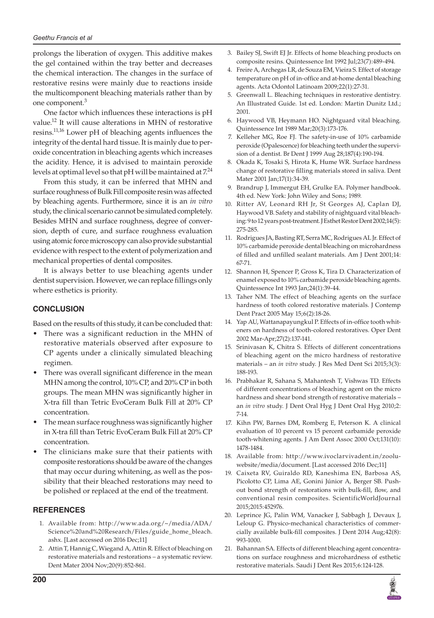#### *Geethu Francis et al*

prolongs the liberation of oxygen. This additive makes the gel contained within the tray better and decreases the chemical interaction. The changes in the surface of restorative resins were mainly due to reactions inside the multicomponent bleaching materials rather than by one component.<sup>3</sup>

One factor which influences these interactions is pH value.12 It will cause alterations in MHN of restorative resins.11,16 Lower pH of bleaching agents influences the integrity of the dental hard tissue. It is mainly due to peroxide concentration in bleaching agents which increases the acidity. Hence, it is advised to maintain peroxide levels at optimal level so that pH will be maintained at  $7.24$ 

From this study, it can be inferred that MHN and surface roughness of Bulk Fill composite resin was affected by bleaching agents. Furthermore, since it is an *in vitro* study, the clinical scenario cannot be simulated completely. Besides MHN and surface roughness, degree of conversion, depth of cure, and surface roughness evaluation using atomic force microscopy can also provide substantial evidence with respect to the extent of polymerization and mechanical properties of dental composites.

It is always better to use bleaching agents under dentist supervision. However, we can replace fillings only where esthetics is priority.

# **CONCLUSION**

Based on the results of this study, it can be concluded that:

- There was a significant reduction in the MHN of restorative materials observed after exposure to CP agents under a clinically simulated bleaching regimen.
- There was overall significant difference in the mean MHN among the control, 10% CP, and 20% CP in both groups. The mean MHN was significantly higher in X-tra fill than Tetric EvoCeram Bulk Fill at 20% CP concentration.
- The mean surface roughness was significantly higher in X-tra fill than Tetric EvoCeram Bulk Fill at 20% CP concentration.
- The clinicians make sure that their patients with composite restorations should be aware of the changes that may occur during whitening, as well as the possibility that their bleached restorations may need to be polished or replaced at the end of the treatment.

# **REFERENCES**

- 1. Available from: http://www.ada.org/~/media/ADA/ Science%20and%20Research/Files/guide\_home\_bleach. ashx. [Last accessed on 2016 Dec;11]
- 2. Attin T, Hannig C, Wiegand A, Attin R. Effect of bleaching on restorative materials and restorations – a systematic review. Dent Mater 2004 Nov;20(9):852-861.
- 3. Bailey SJ, Swift EJ Jr. Effects of home bleaching products on composite resins. Quintessence Int 1992 Jul;23(7):489-494.
- 4. Freire A, Archegas LR, de Souza EM, Vieira S. Effect of storage temperature on pH of in-office and at-home dental bleaching agents. Acta Odontol Latinoam 2009;22(1):27-31.
- 5. Greenwall L. Bleaching techniques in restorative dentistry. An Illustrated Guide. 1st ed. London: Martin Dunitz Ltd.; 2001.
- 6. Haywood VB, Heymann HO. Nightguard vital bleaching. Quintessence Int 1989 Mar;20(3):173-176.
- 7. Kelleher MG, Roe FJ. The safety-in-use of 10% carbamide peroxide (Opalescence) for bleaching teeth under the supervision of a dentist. Br Dent J 1999 Aug 28;187(4):190-194.
- 8. Okada K, Tosaki S, Hirota K, Hume WR. Surface hardness change of restorative filling materials stored in saliva. Dent Mater 2001 Jan;17(1):34-39.
- Brandrup J, Immergut EH, Grulke EA. Polymer handbook. 4th ed. New York: John Wiley and Sons; 1989.
- 10. Ritter AV, Leonard RH Jr, St Georges AJ, Caplan DJ, Haywood VB. Safety and stability of nightguard vital bleaching: 9 to 12 years post-treatment. J Esthet Restor Dent 2002;14(5): 275-285.
- 11. Rodrigues JA, Basting RT, Serra MC, Rodrigues AL Jr. Effect of 10% carbamide peroxide dental bleaching on microhardness of filled and unfilled sealant materials. Am J Dent 2001;14: 67-71.
- 12. Shannon H, Spencer P, Gross K, Tira D. Characterization of enamel exposed to 10% carbamide peroxide bleaching agents. Quintessence Int 1993 Jan;24(1):39-44.
- 13. Taher NM. The effect of bleaching agents on the surface hardness of tooth colored restorative materials. J Contemp Dent Pract 2005 May 15;6(2):18-26.
- 14. Yap AU, Wattanapayungkul P. Effects of in-office tooth whiteners on hardness of tooth-colored restoratives. Oper Dent 2002 Mar-Apr;27(2):137-141.
- 15. Srinivasan K, Chitra S. Effects of different concentrations of bleaching agent on the micro hardness of restorative materials – an *in vitro* study. J Res Med Dent Sci 2015;3(3): 188-193.
- 16. Prabhakar R, Sahana S, Mahantesh T, Vishwas TD. Effects of different concentrations of bleaching agent on the micro hardness and shear bond strength of restorative materials – an *in vitro* study. J Dent Oral Hyg J Dent Oral Hyg 2010;2: 7-14.
- 17. Kihn PW, Barnes DM, Romberg E, Peterson K. A clinical evaluation of 10 percent vs 15 percent carbamide peroxide tooth-whitening agents. J Am Dent Assoc 2000 Oct;131(10): 1478-1484.
- 18. Available from: http://www.ivoclarvivadent.in/zooluwebsite/media/document. [Last accessed 2016 Dec;11]
- 19. Caixeta RV, Guiraldo RD, Kaneshima EN, Barbosa AS, Picolotto CP, Lima AE, Gonini Júnior A, Berger SB. Pushout bond strength of restorations with bulk-fill, flow, and conventional resin composites. ScientificWorldJournal 2015;2015:452976.
- 20. Leprince JG, Palin WM, Vanacker J, Sabbagh J, Devaux J, Leloup G. Physico-mechanical characteristics of commercially available bulk-fill composites. J Dent 2014 Aug;42(8): 993-1000.
- 21. Bahannan SA. Effects of different bleaching agent concentrations on surface roughness and microhardness of esthetic restorative materials. Saudi J Dent Res 2015;6:124-128.